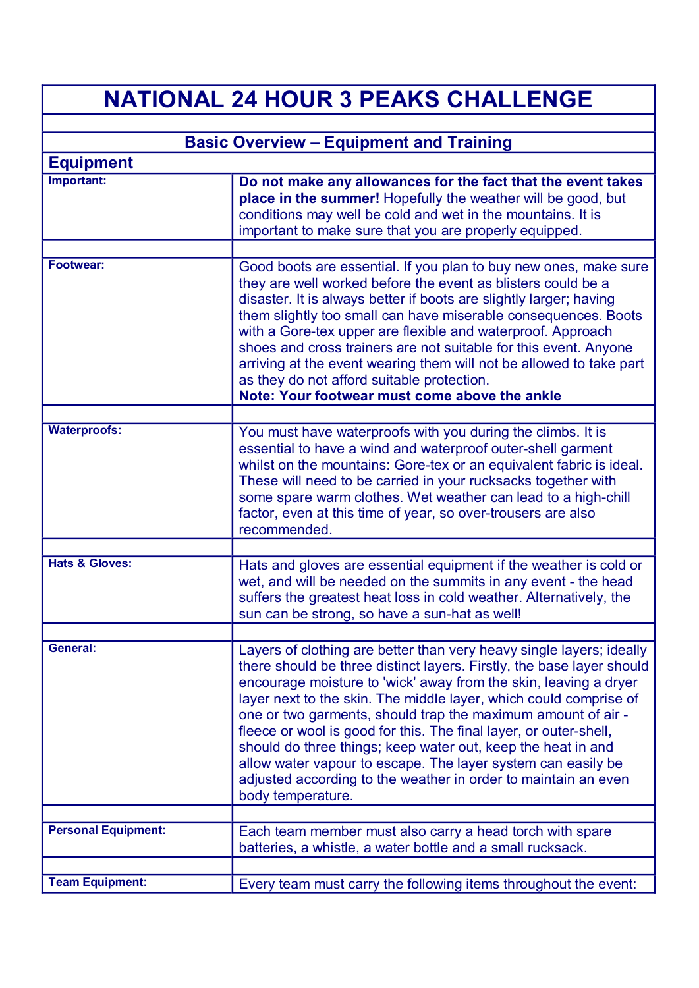## **NATIONAL 24 HOUR 3 PEAKS CHALLENGE**

| <b>Basic Overview - Equipment and Training</b> |                                                                                                                                                                                                                                                                                                                                                                                                                                                                                                                                                                                                                                                    |
|------------------------------------------------|----------------------------------------------------------------------------------------------------------------------------------------------------------------------------------------------------------------------------------------------------------------------------------------------------------------------------------------------------------------------------------------------------------------------------------------------------------------------------------------------------------------------------------------------------------------------------------------------------------------------------------------------------|
| <b>Equipment</b>                               |                                                                                                                                                                                                                                                                                                                                                                                                                                                                                                                                                                                                                                                    |
| Important:                                     | Do not make any allowances for the fact that the event takes<br>place in the summer! Hopefully the weather will be good, but<br>conditions may well be cold and wet in the mountains. It is<br>important to make sure that you are properly equipped.                                                                                                                                                                                                                                                                                                                                                                                              |
| <b>Footwear:</b>                               | Good boots are essential. If you plan to buy new ones, make sure<br>they are well worked before the event as blisters could be a<br>disaster. It is always better if boots are slightly larger; having<br>them slightly too small can have miserable consequences. Boots<br>with a Gore-tex upper are flexible and waterproof. Approach<br>shoes and cross trainers are not suitable for this event. Anyone<br>arriving at the event wearing them will not be allowed to take part<br>as they do not afford suitable protection.<br>Note: Your footwear must come above the ankle                                                                  |
| <b>Waterproofs:</b>                            | You must have waterproofs with you during the climbs. It is<br>essential to have a wind and waterproof outer-shell garment<br>whilst on the mountains: Gore-tex or an equivalent fabric is ideal.<br>These will need to be carried in your rucksacks together with<br>some spare warm clothes. Wet weather can lead to a high-chill<br>factor, even at this time of year, so over-trousers are also<br>recommended.                                                                                                                                                                                                                                |
| <b>Hats &amp; Gloves:</b>                      | Hats and gloves are essential equipment if the weather is cold or<br>wet, and will be needed on the summits in any event - the head<br>suffers the greatest heat loss in cold weather. Alternatively, the<br>sun can be strong, so have a sun-hat as well!                                                                                                                                                                                                                                                                                                                                                                                         |
| General:                                       | Layers of clothing are better than very heavy single layers; ideally<br>there should be three distinct layers. Firstly, the base layer should<br>encourage moisture to 'wick' away from the skin, leaving a dryer<br>layer next to the skin. The middle layer, which could comprise of<br>one or two garments, should trap the maximum amount of air -<br>fleece or wool is good for this. The final layer, or outer-shell,<br>should do three things; keep water out, keep the heat in and<br>allow water vapour to escape. The layer system can easily be<br>adjusted according to the weather in order to maintain an even<br>body temperature. |
| <b>Personal Equipment:</b>                     | Each team member must also carry a head torch with spare<br>batteries, a whistle, a water bottle and a small rucksack.                                                                                                                                                                                                                                                                                                                                                                                                                                                                                                                             |
|                                                |                                                                                                                                                                                                                                                                                                                                                                                                                                                                                                                                                                                                                                                    |
| <b>Team Equipment:</b>                         | Every team must carry the following items throughout the event:                                                                                                                                                                                                                                                                                                                                                                                                                                                                                                                                                                                    |